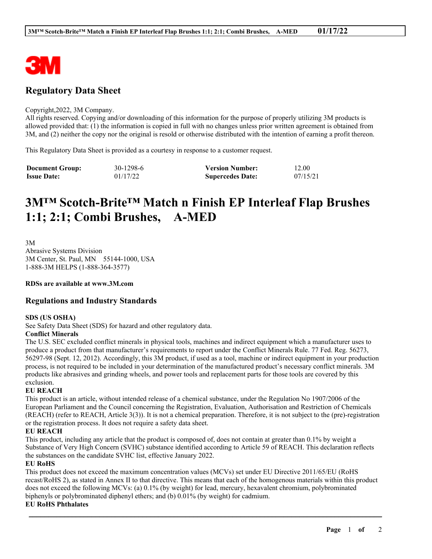

# **Regulatory Data Sheet**

#### Copyright,2022, 3M Company.

All rights reserved. Copying and/or downloading of this information for the purpose of properly utilizing 3M products is allowed provided that: (1) the information is copied in full with no changes unless prior written agreement is obtained from 3M, and (2) neither the copy nor the original is resold or otherwise distributed with the intention of earning a profit thereon.

This Regulatory Data Sheet is provided as a courtesy in response to a customer request.

| <b>Document Group:</b> | 30-1298-6 | <b>Version Number:</b>  | 12.00    |
|------------------------|-----------|-------------------------|----------|
| <b>Issue Date:</b>     | 01/17/22  | <b>Supercedes Date:</b> | 07/15/21 |

# **3M™ Scotch-Brite™ Match n Finish EP Interleaf Flap Brushes 1:1; 2:1; Combi Brushes, A-MED**

3M Abrasive Systems Division 3M Center, St. Paul, MN 55144-1000, USA 1-888-3M HELPS (1-888-364-3577)

**RDSs are available at www.3M.com**

# **Regulations and Industry Standards**

#### **SDS (US OSHA)**

See Safety Data Sheet (SDS) for hazard and other regulatory data.

# **Conflict Minerals**

The U.S. SEC excluded conflict minerals in physical tools, machines and indirect equipment which a manufacturer uses to produce a product from that manufacturer's requirements to report under the Conflict Minerals Rule. 77 Fed. Reg. 56273, 56297-98 (Sept. 12, 2012). Accordingly, this 3M product, if used as a tool, machine or indirect equipment in your production process, is not required to be included in your determination of the manufactured product's necessary conflict minerals. 3M products like abrasives and grinding wheels, and power tools and replacement parts for those tools are covered by this exclusion.

#### **EU REACH**

This product is an article, without intended release of a chemical substance, under the Regulation No 1907/2006 of the European Parliament and the Council concerning the Registration, Evaluation, Authorisation and Restriction of Chemicals (REACH) (refer to REACH, Article 3(3)). It is not a chemical preparation. Therefore, it is not subject to the (pre)-registration or the registration process. It does not require a safety data sheet.

## **EU REACH**

This product, including any article that the product is composed of, does not contain at greater than 0.1% by weight a Substance of Very High Concern (SVHC) substance identified according to Article 59 of REACH. This declaration reflects the substances on the candidate SVHC list, effective January 2022.

#### **EU RoHS**

This product does not exceed the maximum concentration values (MCVs) set under EU Directive 2011/65/EU (RoHS recast/RoHS 2), as stated in Annex II to that directive. This means that each of the homogenous materials within this product does not exceed the following MCVs: (a) 0.1% (by weight) for lead, mercury, hexavalent chromium, polybrominated biphenyls or polybrominated diphenyl ethers; and (b) 0.01% (by weight) for cadmium.

\_\_\_\_\_\_\_\_\_\_\_\_\_\_\_\_\_\_\_\_\_\_\_\_\_\_\_\_\_\_\_\_\_\_\_\_\_\_\_\_\_\_\_\_\_\_\_\_\_\_\_\_\_\_\_\_\_\_\_\_\_\_\_\_\_\_\_\_\_\_\_\_\_\_\_\_\_\_\_\_\_\_\_\_\_\_\_\_\_\_

## **EU RoHS Phthalates**